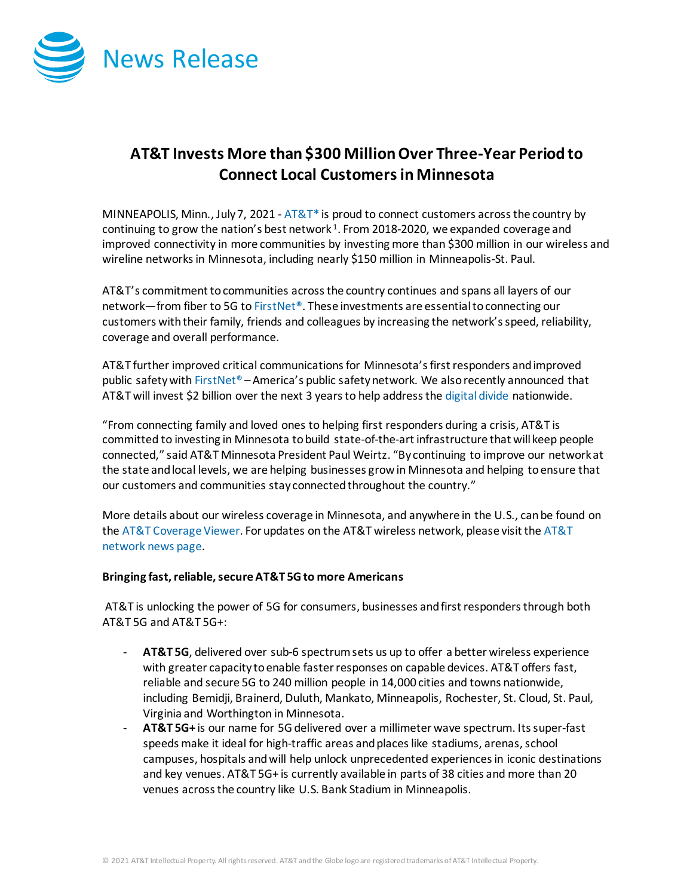

## **AT&T Invests More than \$300 MillionOver Three-Year Period to Connect Local Customersin Minnesota**

MINNEAPOLIS, Minn., July 7, 2021 -  $AT&T^*$  is proud to connect customers across the country by continuing to grow the nation's best network  $1$ . From 2018-2020, we expanded coverage and improved connectivity in more communities by investing more than \$300 million in our wireless and wireline networks in Minnesota, including nearly \$150 million in Minneapolis-St. Paul.

AT&T's commitment to communities across the country continues and spans all layers of our network—from fiber to 5G t[o FirstNet®](http://www.firstnet.com/). These investments are essential to connecting our customers with their family, friends and colleagues by increasing the network's speed, reliability, coverage and overall performance.

AT&T further improved critical communications for Minnesota's first responders and improved public safety wit[h FirstNet®](http://www.firstnet.com/) – America's public safety network. We also recently announced that AT&T will invest \$2 billion over the next 3 years to help address th[e digital divide](https://about.att.com/story/2021/digital_divide.html) nationwide.

"From connecting family and loved ones to helping first responders during a crisis, AT&T is committed to investing in Minnesota to build state-of-the-art infrastructure that will keep people connected," said AT&T Minnesota President Paul Weirtz. "By continuing to improve our network at the state and local levels, we are helping businesses grow in Minnesota and helping to ensure that our customers and communities stay connected throughout the country."

More details about our wireless coverage in Minnesota, and anywhere in the U.S., can be found on th[e AT&T Coverage Viewer.](https://www.att.com/maps/wireless-coverage.html) For updates on the AT&T wireless network, please visit th[e AT&T](https://about.att.com/innovation/network_and_field_operations)  [network news page.](https://about.att.com/innovation/network_and_field_operations)

## **Bringing fast, reliable, secure AT&T 5G to more Americans**

AT&T is unlocking the power of 5G for consumers, businesses and first responders through both AT&T 5G and AT&T 5G+:

- **AT&T 5G**, delivered over sub-6 spectrum sets us up to offer a better wireless experience with greater capacity to enable faster responses on capable devices. AT&T offers fast, reliable and secure 5G to 240 million people in 14,000 cities and towns nationwide, including Bemidji, Brainerd, Duluth, Mankato, Minneapolis, Rochester, St. Cloud, St. Paul, Virginia and Worthington in Minnesota.
- **AT&T 5G+** is our name for 5G delivered over a millimeter wave spectrum. Its super-fast speeds make it ideal for high-traffic areas and places like stadiums, arenas, school campuses, hospitals and will help unlock unprecedented experiences in iconic destinations and key venues. AT&T 5G+ is currently available in parts of 38 cities and more than 20 venues across the country like U.S. Bank Stadium in Minneapolis.